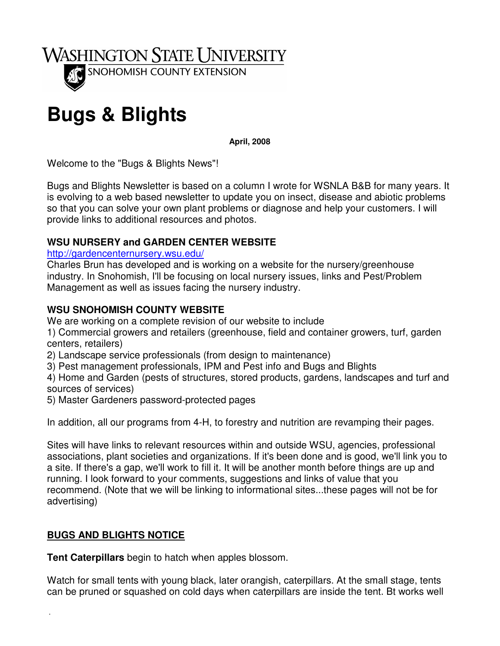

# **Bugs & Blights**

**April, 2008** 

Welcome to the "Bugs & Blights News"!

Bugs and Blights Newsletter is based on a column I wrote for WSNLA B&B for many years. It is evolving to a web based newsletter to update you on insect, disease and abiotic problems so that you can solve your own plant problems or diagnose and help your customers. I will provide links to additional resources and photos.

#### **WSU NURSERY and GARDEN CENTER WEBSITE**

http://gardencenternursery.wsu.edu/

Charles Brun has developed and is working on a website for the nursery/greenhouse industry. In Snohomish, I'll be focusing on local nursery issues, links and Pest/Problem Management as well as issues facing the nursery industry.

#### **WSU SNOHOMISH COUNTY WEBSITE**

We are working on a complete revision of our website to include

1) Commercial growers and retailers (greenhouse, field and container growers, turf, garden centers, retailers)

2) Landscape service professionals (from design to maintenance)

3) Pest management professionals, IPM and Pest info and Bugs and Blights

4) Home and Garden (pests of structures, stored products, gardens, landscapes and turf and sources of services)

5) Master Gardeners password-protected pages

In addition, all our programs from 4-H, to forestry and nutrition are revamping their pages.

Sites will have links to relevant resources within and outside WSU, agencies, professional associations, plant societies and organizations. If it's been done and is good, we'll link you to a site. If there's a gap, we'll work to fill it. It will be another month before things are up and running. I look forward to your comments, suggestions and links of value that you recommend. (Note that we will be linking to informational sites...these pages will not be for advertising)

## **BUGS AND BLIGHTS NOTICE**

.

**Tent Caterpillars** begin to hatch when apples blossom.

Watch for small tents with young black, later orangish, caterpillars. At the small stage, tents can be pruned or squashed on cold days when caterpillars are inside the tent. Bt works well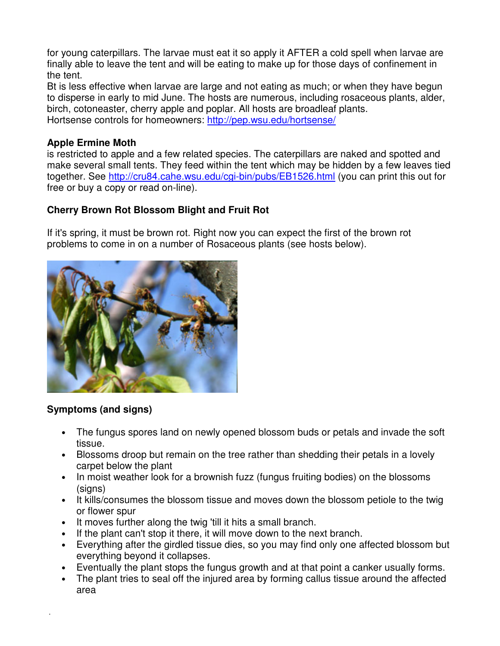for young caterpillars. The larvae must eat it so apply it AFTER a cold spell when larvae are finally able to leave the tent and will be eating to make up for those days of confinement in the tent.

Bt is less effective when larvae are large and not eating as much; or when they have begun to disperse in early to mid June. The hosts are numerous, including rosaceous plants, alder, birch, cotoneaster, cherry apple and poplar. All hosts are broadleaf plants. Hortsense controls for homeowners: http://pep.wsu.edu/hortsense/

#### **Apple Ermine Moth**

is restricted to apple and a few related species. The caterpillars are naked and spotted and make several small tents. They feed within the tent which may be hidden by a few leaves tied together. See http://cru84.cahe.wsu.edu/cgi-bin/pubs/EB1526.html (you can print this out for free or buy a copy or read on-line).

### **Cherry Brown Rot Blossom Blight and Fruit Rot**

If it's spring, it must be brown rot. Right now you can expect the first of the brown rot problems to come in on a number of Rosaceous plants (see hosts below).



#### **Symptoms (and signs)**

.

- The fungus spores land on newly opened blossom buds or petals and invade the soft tissue.
- Blossoms droop but remain on the tree rather than shedding their petals in a lovely carpet below the plant
- In moist weather look for a brownish fuzz (fungus fruiting bodies) on the blossoms (signs)
- It kills/consumes the blossom tissue and moves down the blossom petiole to the twig or flower spur
- It moves further along the twig 'till it hits a small branch.
- If the plant can't stop it there, it will move down to the next branch.
- Everything after the girdled tissue dies, so you may find only one affected blossom but everything beyond it collapses.
- Eventually the plant stops the fungus growth and at that point a canker usually forms.
- The plant tries to seal off the injured area by forming callus tissue around the affected area